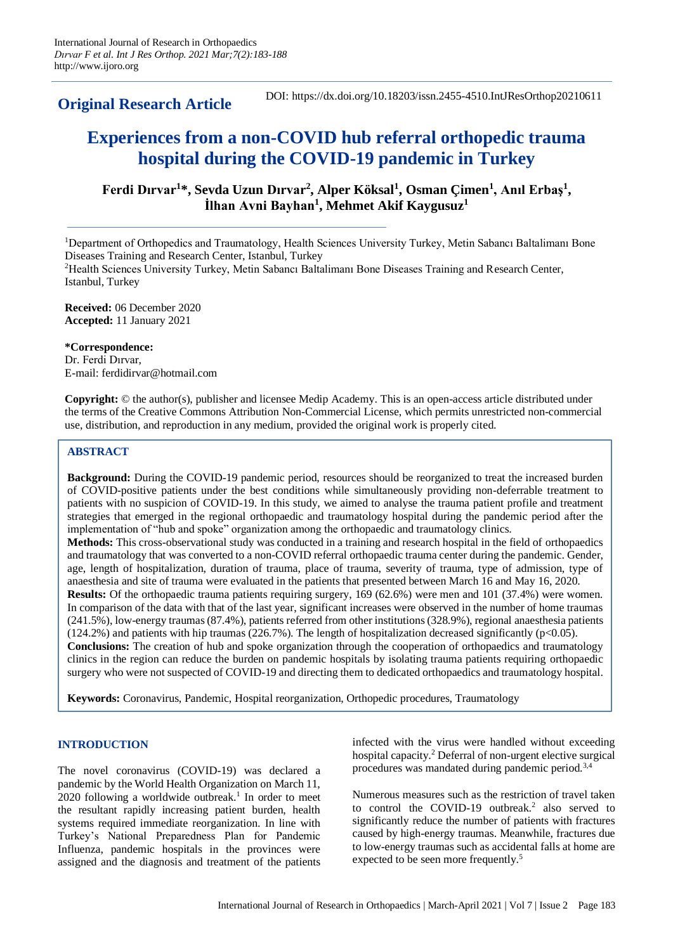**Original Research Article**

DOI: https://dx.doi.org/10.18203/issn.2455-4510.IntJResOrthop20210611

# **Experiences from a non-COVID hub referral orthopedic trauma hospital during the COVID-19 pandemic in Turkey**

**Ferdi Dırvar<sup>1</sup> \*, Sevda Uzun Dırvar<sup>2</sup> , Alper Köksal<sup>1</sup> , Osman Çimen<sup>1</sup> , Anıl Erbaş<sup>1</sup> , İlhan Avni Bayhan<sup>1</sup> , Mehmet Akif Kaygusuz<sup>1</sup>**

<sup>1</sup>Department of Orthopedics and Traumatology, Health Sciences University Turkey, Metin Sabancı Baltalimanı Bone Diseases Training and Research Center, Istanbul, Turkey

<sup>2</sup>Health Sciences University Turkey, Metin Sabancı Baltalimanı Bone Diseases Training and Research Center, Istanbul, Turkey

**Received:** 06 December 2020 **Accepted:** 11 January 2021

**\*Correspondence:**

Dr. Ferdi Dırvar, E-mail: ferdidirvar@hotmail.com

**Copyright:** © the author(s), publisher and licensee Medip Academy. This is an open-access article distributed under the terms of the Creative Commons Attribution Non-Commercial License, which permits unrestricted non-commercial use, distribution, and reproduction in any medium, provided the original work is properly cited.

# **ABSTRACT**

**Background:** During the COVID-19 pandemic period, resources should be reorganized to treat the increased burden of COVID-positive patients under the best conditions while simultaneously providing non-deferrable treatment to patients with no suspicion of COVID-19. In this study, we aimed to analyse the trauma patient profile and treatment strategies that emerged in the regional orthopaedic and traumatology hospital during the pandemic period after the implementation of "hub and spoke" organization among the orthopaedic and traumatology clinics. **Methods:** This cross-observational study was conducted in a training and research hospital in the field of orthopaedics and traumatology that was converted to a non-COVID referral orthopaedic trauma center during the pandemic. Gender, age, length of hospitalization, duration of trauma, place of trauma, severity of trauma, type of admission, type of anaesthesia and site of trauma were evaluated in the patients that presented between March 16 and May 16, 2020. **Results:** Of the orthopaedic trauma patients requiring surgery, 169 (62.6%) were men and 101 (37.4%) were women. In comparison of the data with that of the last year, significant increases were observed in the number of home traumas (241.5%), low-energy traumas (87.4%), patients referred from other institutions (328.9%), regional anaesthesia patients  $(124.2\%)$  and patients with hip traumas  $(226.7\%)$ . The length of hospitalization decreased significantly (p<0.05). **Conclusions:** The creation of hub and spoke organization through the cooperation of orthopaedics and traumatology clinics in the region can reduce the burden on pandemic hospitals by isolating trauma patients requiring orthopaedic surgery who were not suspected of COVID-19 and directing them to dedicated orthopaedics and traumatology hospital.

**Keywords:** Coronavirus, Pandemic, Hospital reorganization, Orthopedic procedures, Traumatology

## **INTRODUCTION**

The novel coronavirus (COVID-19) was declared a pandemic by the World Health Organization on March 11, 2020 following a worldwide outbreak.<sup>1</sup> In order to meet the resultant rapidly increasing patient burden, health systems required immediate reorganization. In line with Turkey's National Preparedness Plan for Pandemic Influenza, pandemic hospitals in the provinces were assigned and the diagnosis and treatment of the patients infected with the virus were handled without exceeding hospital capacity.<sup>2</sup> Deferral of non-urgent elective surgical procedures was mandated during pandemic period.3,4

Numerous measures such as the restriction of travel taken to control the COVID-19 outbreak.<sup>2</sup> also served to significantly reduce the number of patients with fractures caused by high-energy traumas. Meanwhile, fractures due to low-energy traumas such as accidental falls at home are expected to be seen more frequently.<sup>5</sup>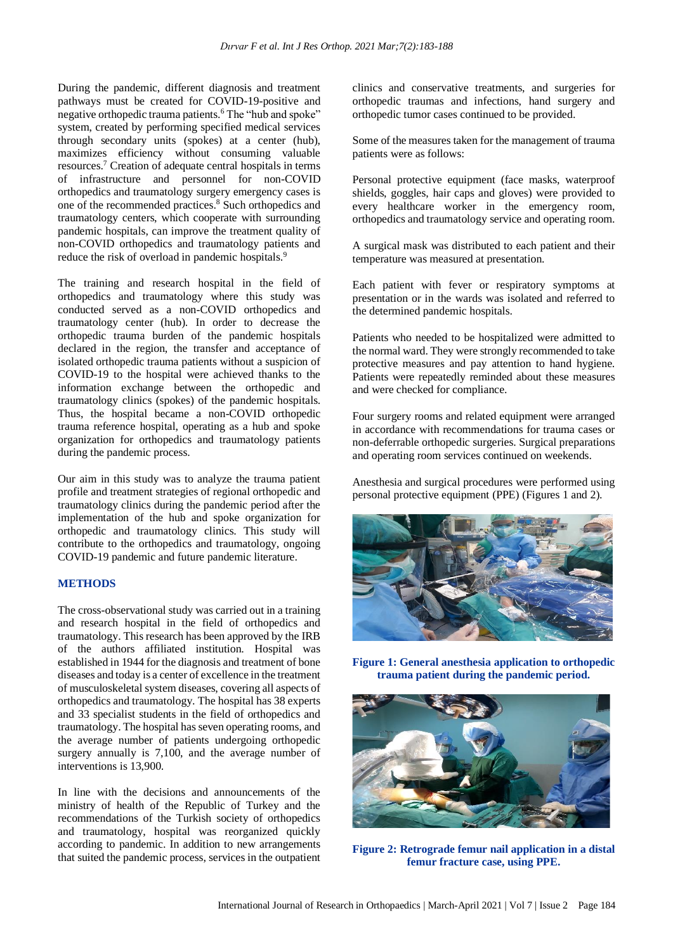During the pandemic, different diagnosis and treatment pathways must be created for COVID-19-positive and negative orthopedic trauma patients.<sup>6</sup> The "hub and spoke" system, created by performing specified medical services through secondary units (spokes) at a center (hub), maximizes efficiency without consuming valuable resources.<sup>7</sup> Creation of adequate central hospitals in terms of infrastructure and personnel for non-COVID orthopedics and traumatology surgery emergency cases is one of the recommended practices.<sup>8</sup> Such orthopedics and traumatology centers, which cooperate with surrounding pandemic hospitals, can improve the treatment quality of non-COVID orthopedics and traumatology patients and reduce the risk of overload in pandemic hospitals.<sup>9</sup>

The training and research hospital in the field of orthopedics and traumatology where this study was conducted served as a non-COVID orthopedics and traumatology center (hub). In order to decrease the orthopedic trauma burden of the pandemic hospitals declared in the region, the transfer and acceptance of isolated orthopedic trauma patients without a suspicion of COVID-19 to the hospital were achieved thanks to the information exchange between the orthopedic and traumatology clinics (spokes) of the pandemic hospitals. Thus, the hospital became a non-COVID orthopedic trauma reference hospital, operating as a hub and spoke organization for orthopedics and traumatology patients during the pandemic process.

Our aim in this study was to analyze the trauma patient profile and treatment strategies of regional orthopedic and traumatology clinics during the pandemic period after the implementation of the hub and spoke organization for orthopedic and traumatology clinics. This study will contribute to the orthopedics and traumatology, ongoing COVID-19 pandemic and future pandemic literature.

#### **METHODS**

The cross-observational study was carried out in a training and research hospital in the field of orthopedics and traumatology. This research has been approved by the IRB of the authors affiliated institution. Hospital was established in 1944 for the diagnosis and treatment of bone diseases and today is a center of excellence in the treatment of musculoskeletal system diseases, covering all aspects of orthopedics and traumatology. The hospital has 38 experts and 33 specialist students in the field of orthopedics and traumatology. The hospital has seven operating rooms, and the average number of patients undergoing orthopedic surgery annually is 7,100, and the average number of interventions is 13,900.

In line with the decisions and announcements of the ministry of health of the Republic of Turkey and the recommendations of the Turkish society of orthopedics and traumatology, hospital was reorganized quickly according to pandemic. In addition to new arrangements that suited the pandemic process, services in the outpatient clinics and conservative treatments, and surgeries for orthopedic traumas and infections, hand surgery and orthopedic tumor cases continued to be provided.

Some of the measures taken for the management of trauma patients were as follows:

Personal protective equipment (face masks, waterproof shields, goggles, hair caps and gloves) were provided to every healthcare worker in the emergency room, orthopedics and traumatology service and operating room.

A surgical mask was distributed to each patient and their temperature was measured at presentation.

Each patient with fever or respiratory symptoms at presentation or in the wards was isolated and referred to the determined pandemic hospitals.

Patients who needed to be hospitalized were admitted to the normal ward. They were strongly recommended to take protective measures and pay attention to hand hygiene. Patients were repeatedly reminded about these measures and were checked for compliance.

Four surgery rooms and related equipment were arranged in accordance with recommendations for trauma cases or non-deferrable orthopedic surgeries. Surgical preparations and operating room services continued on weekends.

Anesthesia and surgical procedures were performed using personal protective equipment (PPE) (Figures 1 and 2).



**Figure 1: General anesthesia application to orthopedic trauma patient during the pandemic period.**



**Figure 2: Retrograde femur nail application in a distal femur fracture case, using PPE.**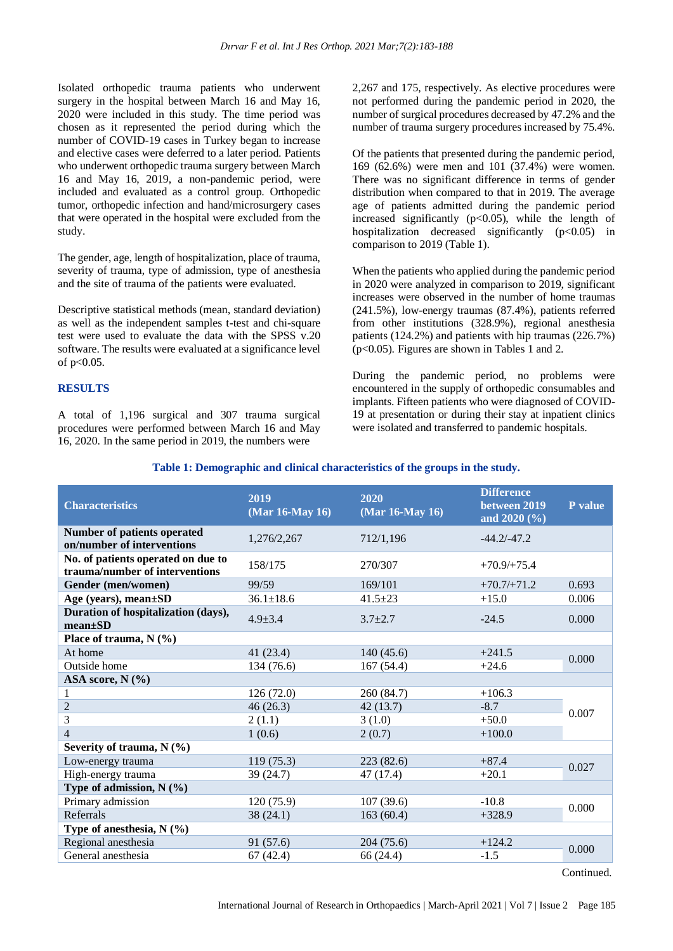Isolated orthopedic trauma patients who underwent surgery in the hospital between March 16 and May 16, 2020 were included in this study. The time period was chosen as it represented the period during which the number of COVID-19 cases in Turkey began to increase and elective cases were deferred to a later period. Patients who underwent orthopedic trauma surgery between March 16 and May 16, 2019, a non-pandemic period, were included and evaluated as a control group. Orthopedic tumor, orthopedic infection and hand/microsurgery cases that were operated in the hospital were excluded from the study.

The gender, age, length of hospitalization, place of trauma, severity of trauma, type of admission, type of anesthesia and the site of trauma of the patients were evaluated.

Descriptive statistical methods (mean, standard deviation) as well as the independent samples t-test and chi-square test were used to evaluate the data with the SPSS v.20 software. The results were evaluated at a significance level of p<0.05.

#### **RESULTS**

A total of 1,196 surgical and 307 trauma surgical procedures were performed between March 16 and May 16, 2020. In the same period in 2019, the numbers were

2,267 and 175, respectively. As elective procedures were not performed during the pandemic period in 2020, the number of surgical procedures decreased by 47.2% and the number of trauma surgery procedures increased by 75.4%.

Of the patients that presented during the pandemic period, 169 (62.6%) were men and 101 (37.4%) were women. There was no significant difference in terms of gender distribution when compared to that in 2019. The average age of patients admitted during the pandemic period increased significantly  $(p<0.05)$ , while the length of hospitalization decreased significantly  $(p<0.05)$  in comparison to 2019 (Table 1).

When the patients who applied during the pandemic period in 2020 were analyzed in comparison to 2019, significant increases were observed in the number of home traumas (241.5%), low-energy traumas (87.4%), patients referred from other institutions (328.9%), regional anesthesia patients (124.2%) and patients with hip traumas (226.7%) (p<0.05). Figures are shown in Tables 1 and 2.

During the pandemic period, no problems were encountered in the supply of orthopedic consumables and implants. Fifteen patients who were diagnosed of COVID-19 at presentation or during their stay at inpatient clinics were isolated and transferred to pandemic hospitals.

| Table 1: Demographic and clinical characteristics of the groups in the study. |  |
|-------------------------------------------------------------------------------|--|
|-------------------------------------------------------------------------------|--|

| <b>Characteristics</b>                                               | 2019<br>(Mar 16-May 16) | 2020<br>(Mar 16-May 16) | <b>Difference</b><br>between 2019<br>and $2020\,(%)$ | P value |
|----------------------------------------------------------------------|-------------------------|-------------------------|------------------------------------------------------|---------|
| Number of patients operated<br>on/number of interventions            | 1,276/2,267             | 712/1,196               | $-44.2/-47.2$                                        |         |
| No. of patients operated on due to<br>trauma/number of interventions | 158/175                 | 270/307                 | $+70.9/+75.4$                                        |         |
| Gender (men/women)                                                   | 99/59                   | 169/101                 | $+70.7/+71.2$                                        | 0.693   |
| Age (years), mean±SD                                                 | $36.1 \pm 18.6$         | $41.5 \pm 23$           | $+15.0$                                              | 0.006   |
| Duration of hospitalization (days),<br>$mean \pm SD$                 | $4.9 \pm 3.4$           | $3.7 \pm 2.7$           | $-24.5$                                              | 0.000   |
| Place of trauma, $N$ (%)                                             |                         |                         |                                                      |         |
| At home                                                              | 41(23.4)                | 140(45.6)               | $+241.5$                                             |         |
| Outside home                                                         | 134 (76.6)              | 167(54.4)               | $+24.6$                                              | 0.000   |
| ASA score, $N$ (%)                                                   |                         |                         |                                                      |         |
| 1                                                                    | 126(72.0)               | 260 (84.7)              | $+106.3$                                             |         |
| $\overline{2}$                                                       | 46(26.3)                | 42(13.7)                | $-8.7$                                               | 0.007   |
| 3                                                                    | 2(1.1)                  | 3(1.0)                  | $+50.0$                                              |         |
| $\overline{4}$                                                       | 1(0.6)                  | 2(0.7)                  | $+100.0$                                             |         |
| Severity of trauma, $N$ (%)                                          |                         |                         |                                                      |         |
| Low-energy trauma                                                    | 119(75.3)               | 223(82.6)               | $+87.4$                                              | 0.027   |
| High-energy trauma                                                   | 39 (24.7)               | 47 (17.4)               | $+20.1$                                              |         |
| Type of admission, $N$ (%)                                           |                         |                         |                                                      |         |
| Primary admission                                                    | 120(75.9)               | 107(39.6)               | $-10.8$                                              | 0.000   |
| Referrals                                                            | 38(24.1)                | 163(60.4)               | $+328.9$                                             |         |
| Type of anesthesia, $N$ (%)                                          |                         |                         |                                                      |         |
| Regional anesthesia                                                  | 91 (57.6)               | 204(75.6)               | $+124.2$                                             | 0.000   |
| General anesthesia                                                   | 67 (42.4)               | 66 (24.4)               | $-1.5$                                               |         |

Continued.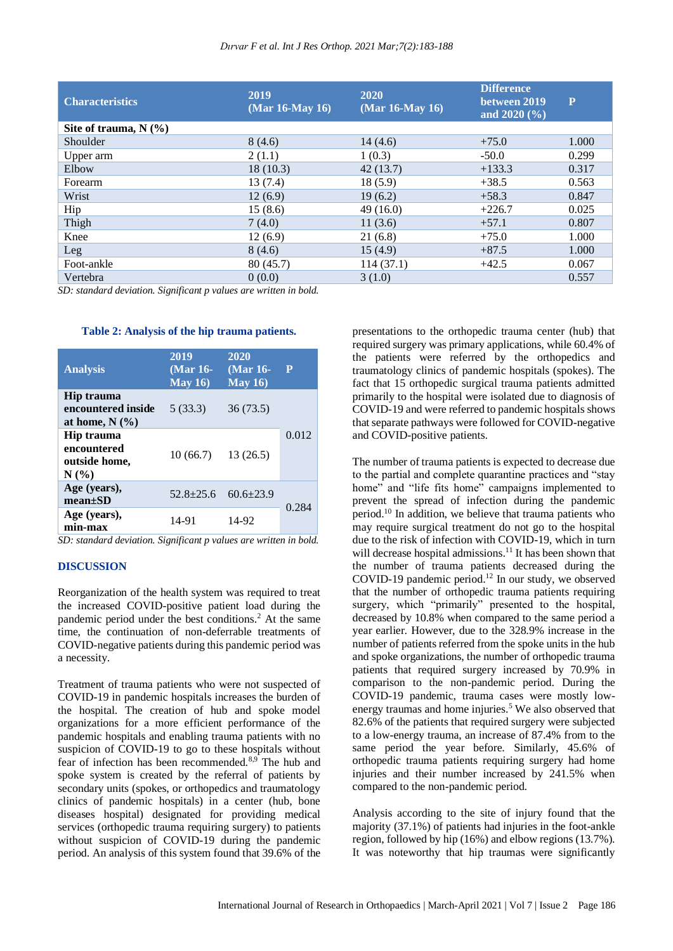| <b>Characteristics</b>  | 2019<br>$(Mar 16-May 16)$ | 2020<br>(Mar 16-May 16) | <b>Difference</b><br>between 2019<br>and $2020\,(%)$ | P     |
|-------------------------|---------------------------|-------------------------|------------------------------------------------------|-------|
| Site of trauma, $N(\%)$ |                           |                         |                                                      |       |
| Shoulder                | 8(4.6)                    | 14(4.6)                 | $+75.0$                                              | 1.000 |
| Upper arm               | 2(1.1)                    | 1(0.3)                  | $-50.0$                                              | 0.299 |
| Elbow                   | 18(10.3)                  | 42(13.7)                | $+133.3$                                             | 0.317 |
| Forearm                 | 13(7.4)                   | 18(5.9)                 | $+38.5$                                              | 0.563 |
| Wrist                   | 12(6.9)                   | 19(6.2)                 | $+58.3$                                              | 0.847 |
| Hip                     | 15(8.6)                   | 49(16.0)                | $+226.7$                                             | 0.025 |
| Thigh                   | 7(4.0)                    | 11(3.6)                 | $+57.1$                                              | 0.807 |
| Knee                    | 12(6.9)                   | 21(6.8)                 | $+75.0$                                              | 1.000 |
| Leg                     | 8(4.6)                    | 15(4.9)                 | $+87.5$                                              | 1.000 |
| Foot-ankle              | 80 (45.7)                 | 114(37.1)               | $+42.5$                                              | 0.067 |
| Vertebra                | 0(0.0)                    | 3(1.0)                  |                                                      | 0.557 |

*SD: standard deviation. Significant p values are written in bold.*

#### **Table 2: Analysis of the hip trauma patients.**

| <b>Analysis</b>                                      | 2019<br>(Mar 16-<br>May $16$ | 2020<br>(Mar 16-<br>May $16$ | P     |
|------------------------------------------------------|------------------------------|------------------------------|-------|
| Hip trauma<br>encountered inside<br>at home, $N(\%)$ | 5(33.3)                      | 36(73.5)                     |       |
| Hip trauma<br>encountered<br>outside home,<br>N(%    | 10(66.7)                     | 13(26.5)                     | 0.012 |
| Age (years),<br>$mean \pm SD$                        | $52.8 + 25.6$                | $60.6 \pm 23.9$              | 0.284 |
| Age (years),<br>min-max                              | 14-91                        | 14-92                        |       |

*SD: standard deviation. Significant p values are written in bold.*

#### **DISCUSSION**

Reorganization of the health system was required to treat the increased COVID-positive patient load during the pandemic period under the best conditions.<sup>2</sup> At the same time, the continuation of non-deferrable treatments of COVID-negative patients during this pandemic period was a necessity.

Treatment of trauma patients who were not suspected of COVID-19 in pandemic hospitals increases the burden of the hospital. The creation of hub and spoke model organizations for a more efficient performance of the pandemic hospitals and enabling trauma patients with no suspicion of COVID-19 to go to these hospitals without fear of infection has been recommended.8,9 The hub and spoke system is created by the referral of patients by secondary units (spokes, or orthopedics and traumatology clinics of pandemic hospitals) in a center (hub, bone diseases hospital) designated for providing medical services (orthopedic trauma requiring surgery) to patients without suspicion of COVID-19 during the pandemic period. An analysis of this system found that 39.6% of the presentations to the orthopedic trauma center (hub) that required surgery was primary applications, while 60.4% of the patients were referred by the orthopedics and traumatology clinics of pandemic hospitals (spokes). The fact that 15 orthopedic surgical trauma patients admitted primarily to the hospital were isolated due to diagnosis of COVID-19 and were referred to pandemic hospitals shows that separate pathways were followed for COVID-negative and COVID-positive patients.

The number of trauma patients is expected to decrease due to the partial and complete quarantine practices and "stay home" and "life fits home" campaigns implemented to prevent the spread of infection during the pandemic period.<sup>10</sup> In addition, we believe that trauma patients who may require surgical treatment do not go to the hospital due to the risk of infection with COVID-19, which in turn will decrease hospital admissions.<sup>11</sup> It has been shown that the number of trauma patients decreased during the COVID-19 pandemic period.<sup>12</sup> In our study, we observed that the number of orthopedic trauma patients requiring surgery, which "primarily" presented to the hospital, decreased by 10.8% when compared to the same period a year earlier. However, due to the 328.9% increase in the number of patients referred from the spoke units in the hub and spoke organizations, the number of orthopedic trauma patients that required surgery increased by 70.9% in comparison to the non-pandemic period. During the COVID-19 pandemic, trauma cases were mostly lowenergy traumas and home injuries.<sup>5</sup> We also observed that 82.6% of the patients that required surgery were subjected to a low-energy trauma, an increase of 87.4% from to the same period the year before. Similarly, 45.6% of orthopedic trauma patients requiring surgery had home injuries and their number increased by 241.5% when compared to the non-pandemic period.

Analysis according to the site of injury found that the majority (37.1%) of patients had injuries in the foot-ankle region, followed by hip (16%) and elbow regions (13.7%). It was noteworthy that hip traumas were significantly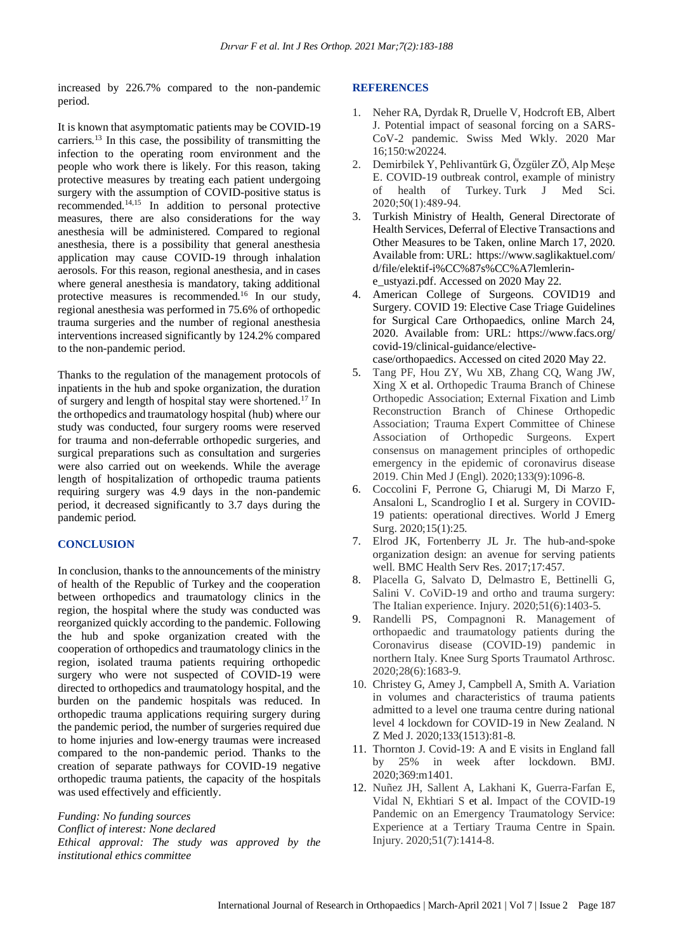increased by 226.7% compared to the non-pandemic period.

It is known that asymptomatic patients may be COVID-19 carriers.<sup>13</sup> In this case, the possibility of transmitting the infection to the operating room environment and the people who work there is likely. For this reason, taking protective measures by treating each patient undergoing surgery with the assumption of COVID-positive status is recommended.14,15 In addition to personal protective measures, there are also considerations for the way anesthesia will be administered. Compared to regional anesthesia, there is a possibility that general anesthesia application may cause COVID-19 through inhalation aerosols. For this reason, regional anesthesia, and in cases where general anesthesia is mandatory, taking additional protective measures is recommended.<sup>16</sup> In our study, regional anesthesia was performed in 75.6% of orthopedic trauma surgeries and the number of regional anesthesia interventions increased significantly by 124.2% compared to the non-pandemic period.

Thanks to the regulation of the management protocols of inpatients in the hub and spoke organization, the duration of surgery and length of hospital stay were shortened.<sup>17</sup> In the orthopedics and traumatology hospital (hub) where our study was conducted, four surgery rooms were reserved for trauma and non-deferrable orthopedic surgeries, and surgical preparations such as consultation and surgeries were also carried out on weekends. While the average length of hospitalization of orthopedic trauma patients requiring surgery was 4.9 days in the non-pandemic period, it decreased significantly to 3.7 days during the pandemic period.

## **CONCLUSION**

In conclusion, thanks to the announcements of the ministry of health of the Republic of Turkey and the cooperation between orthopedics and traumatology clinics in the region, the hospital where the study was conducted was reorganized quickly according to the pandemic. Following the hub and spoke organization created with the cooperation of orthopedics and traumatology clinics in the region, isolated trauma patients requiring orthopedic surgery who were not suspected of COVID-19 were directed to orthopedics and traumatology hospital, and the burden on the pandemic hospitals was reduced. In orthopedic trauma applications requiring surgery during the pandemic period, the number of surgeries required due to home injuries and low-energy traumas were increased compared to the non-pandemic period. Thanks to the creation of separate pathways for COVID-19 negative orthopedic trauma patients, the capacity of the hospitals was used effectively and efficiently.

*Funding: No funding sources Conflict of interest: None declared Ethical approval: The study was approved by the institutional ethics committee*

#### **REFERENCES**

- 1. Neher RA, Dyrdak R, Druelle V, Hodcroft EB, Albert J. Potential impact of seasonal forcing on a SARS-CoV-2 pandemic. Swiss Med Wkly. 2020 Mar 16;150:w20224.
- 2. Demirbilek Y, Pehlivantürk G, Özgüler ZÖ, Alp Meşe E. COVID-19 outbreak control, example of ministry of health of Turkey. Turk J Med Sci. 2020;50(1):489‐94.
- 3. Turkish Ministry of Health, General Directorate of Health Services, Deferral of Elective Transactions and Other Measures to be Taken, online March 17, 2020. Available from: URL: https://www.saglikaktuel.com/ d/file/elektif-i%CC%87s%CC%A7lemlerine\_ustyazi.pdf. Accessed on 2020 May 22.
- 4. American College of Surgeons. COVID19 and Surgery. COVID 19: Elective Case Triage Guidelines for Surgical Care Orthopaedics, online March 24, 2020. Available from: URL: https://www.facs.org/ covid-19/clinical-guidance/electivecase/orthopaedics. Accessed on cited 2020 May 22.
- 5. Tang PF, Hou ZY, Wu XB, Zhang CQ, Wang JW, Xing X et al. Orthopedic Trauma Branch of Chinese Orthopedic Association; External Fixation and Limb Reconstruction Branch of Chinese Orthopedic Association; Trauma Expert Committee of Chinese Association of Orthopedic Surgeons. Expert consensus on management principles of orthopedic emergency in the epidemic of coronavirus disease 2019. Chin Med J (Engl). 2020;133(9):1096-8.
- 6. Coccolini F, Perrone G, Chiarugi M, Di Marzo F, Ansaloni L, Scandroglio I et al. Surgery in COVID-19 patients: operational directives. World J Emerg Surg. 2020;15(1):25.
- 7. Elrod JK, Fortenberry JL Jr. The hub-and-spoke organization design: an avenue for serving patients well. BMC Health Serv Res. 2017;17:457.
- 8. Placella G, Salvato D, Delmastro E, Bettinelli G, Salini V. CoViD-19 and ortho and trauma surgery: The Italian experience. Injury. 2020;51(6):1403-5.
- 9. Randelli PS, Compagnoni R. Management of orthopaedic and traumatology patients during the Coronavirus disease (COVID-19) pandemic in northern Italy. Knee Surg Sports Traumatol Arthrosc. 2020;28(6):1683-9.
- 10. Christey G, Amey J, Campbell A, Smith A. Variation in volumes and characteristics of trauma patients admitted to a level one trauma centre during national level 4 lockdown for COVID-19 in New Zealand. N Z Med J. 2020;133(1513):81-8.
- 11. Thornton J. Covid-19: A and E visits in England fall by 25% in week after lockdown. BMJ. 2020;369:m1401.
- 12. Nuñez JH, Sallent A, Lakhani K, Guerra-Farfan E, Vidal N, Ekhtiari S et al. Impact of the COVID-19 Pandemic on an Emergency Traumatology Service: Experience at a Tertiary Trauma Centre in Spain. Injury. 2020;51(7):1414-8.